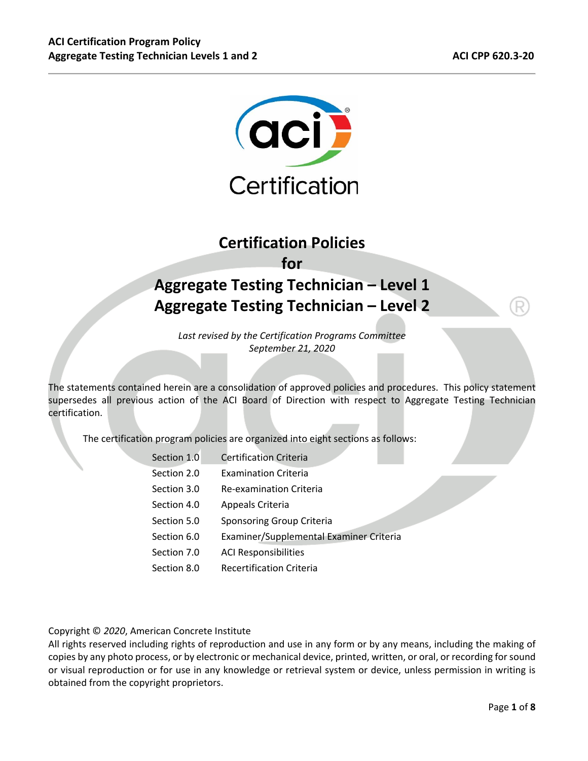

# **Certification Policies for Aggregate Testing Technician – Level 1 Aggregate Testing Technician – Level 2**

*Last revised by the Certification Programs Committee September 21, 2020* 

The statements contained herein are a consolidation of approved policies and procedures. This policy statement supersedes all previous action of the ACI Board of Direction with respect to Aggregate Testing Technician certification.

The certification program policies are organized into eight sections as follows:

| Section 1.0 | <b>Certification Criteria</b>           |
|-------------|-----------------------------------------|
| Section 2.0 | <b>Examination Criteria</b>             |
| Section 3.0 | <b>Re-examination Criteria</b>          |
| Section 4.0 | Appeals Criteria                        |
| Section 5.0 | Sponsoring Group Criteria               |
| Section 6.0 | Examiner/Supplemental Examiner Criteria |
| Section 7.0 | <b>ACI Responsibilities</b>             |
| Section 8.0 | <b>Recertification Criteria</b>         |
|             |                                         |

Copyright © *2020*, American Concrete Institute

All rights reserved including rights of reproduction and use in any form or by any means, including the making of copies by any photo process, or by electronic or mechanical device, printed, written, or oral, or recording for sound or visual reproduction or for use in any knowledge or retrieval system or device, unless permission in writing is obtained from the copyright proprietors.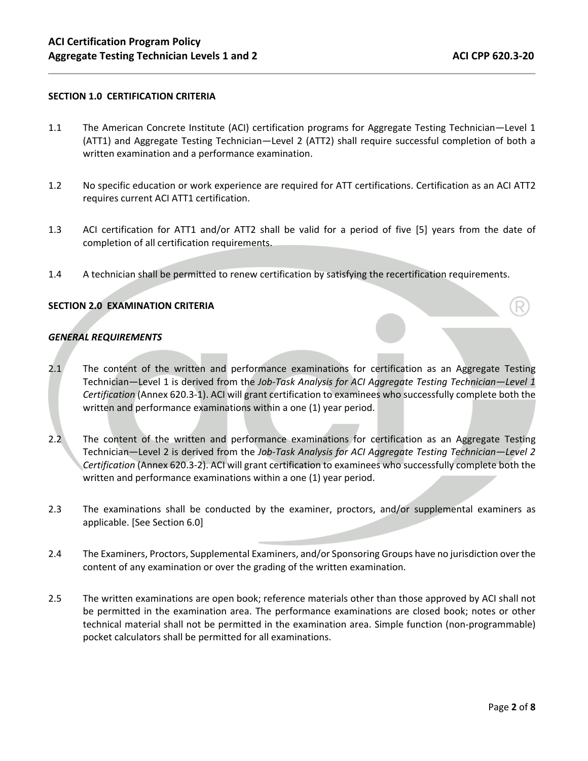### **SECTION 1.0 CERTIFICATION CRITERIA**

- 1.1 The American Concrete Institute (ACI) certification programs for Aggregate Testing Technician—Level 1 (ATT1) and Aggregate Testing Technician—Level 2 (ATT2) shall require successful completion of both a written examination and a performance examination.
- 1.2 No specific education or work experience are required for ATT certifications. Certification as an ACI ATT2 requires current ACI ATT1 certification.
- 1.3 ACI certification for ATT1 and/or ATT2 shall be valid for a period of five [5] years from the date of completion of all certification requirements.
- 1.4 A technician shall be permitted to renew certification by satisfying the recertification requirements.

#### **SECTION 2.0 EXAMINATION CRITERIA**

#### *GENERAL REQUIREMENTS*

- 2.1 The content of the written and performance examinations for certification as an Aggregate Testing Technician—Level 1 is derived from the *Job‐Task Analysis for ACI Aggregate Testing Technician—Level 1 Certification* (Annex 620.3‐1). ACI will grant certification to examinees who successfully complete both the written and performance examinations within a one (1) year period.
- 2.2 The content of the written and performance examinations for certification as an Aggregate Testing Technician—Level 2 is derived from the *Job‐Task Analysis for ACI Aggregate Testing Technician—Level 2 Certification* (Annex 620.3‐2). ACI will grant certification to examinees who successfully complete both the written and performance examinations within a one (1) year period.
- 2.3 The examinations shall be conducted by the examiner, proctors, and/or supplemental examiners as applicable. [See Section 6.0]
- 2.4 The Examiners, Proctors, Supplemental Examiners, and/or Sponsoring Groups have no jurisdiction over the content of any examination or over the grading of the written examination.
- 2.5 The written examinations are open book; reference materials other than those approved by ACI shall not be permitted in the examination area. The performance examinations are closed book; notes or other technical material shall not be permitted in the examination area. Simple function (non‐programmable) pocket calculators shall be permitted for all examinations.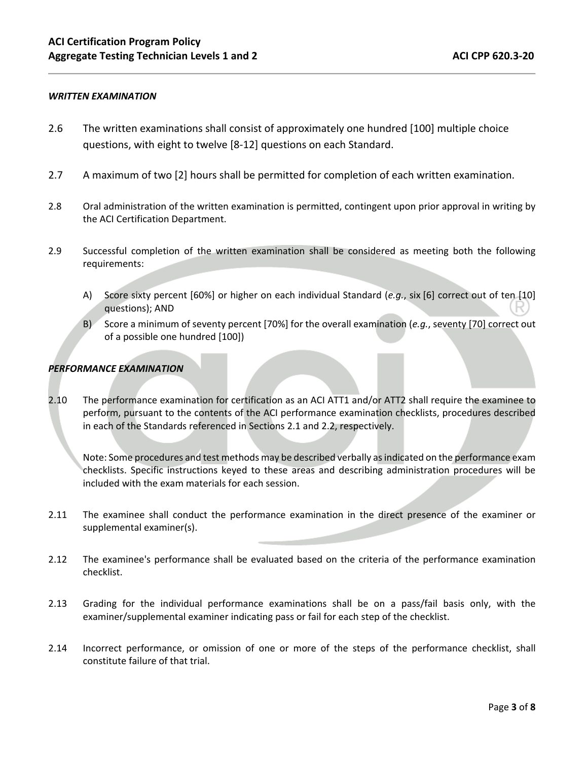#### *WRITTEN EXAMINATION*

- 2.6 The written examinations shall consist of approximately one hundred [100] multiple choice questions, with eight to twelve [8‐12] questions on each Standard.
- 2.7 A maximum of two [2] hours shall be permitted for completion of each written examination.
- 2.8 Oral administration of the written examination is permitted, contingent upon prior approval in writing by the ACI Certification Department.
- 2.9 Successful completion of the written examination shall be considered as meeting both the following requirements:
	- A) Score sixty percent [60%] or higher on each individual Standard (*e.g.*, six [6] correct out of ten [10] questions); AND
	- B) Score a minimum of seventy percent [70%] for the overall examination (*e.g.*, seventy [70] correct out of a possible one hundred [100])

#### *PERFORMANCE EXAMINATION*

2.10 The performance examination for certification as an ACI ATT1 and/or ATT2 shall require the examinee to perform, pursuant to the contents of the ACI performance examination checklists, procedures described in each of the Standards referenced in Sections 2.1 and 2.2, respectively.

Note: Some procedures and test methods may be described verbally as indicated on the performance exam checklists. Specific instructions keyed to these areas and describing administration procedures will be included with the exam materials for each session.

- 2.11 The examinee shall conduct the performance examination in the direct presence of the examiner or supplemental examiner(s).
- 2.12 The examinee's performance shall be evaluated based on the criteria of the performance examination checklist.
- 2.13 Grading for the individual performance examinations shall be on a pass/fail basis only, with the examiner/supplemental examiner indicating pass or fail for each step of the checklist.
- 2.14 Incorrect performance, or omission of one or more of the steps of the performance checklist, shall constitute failure of that trial.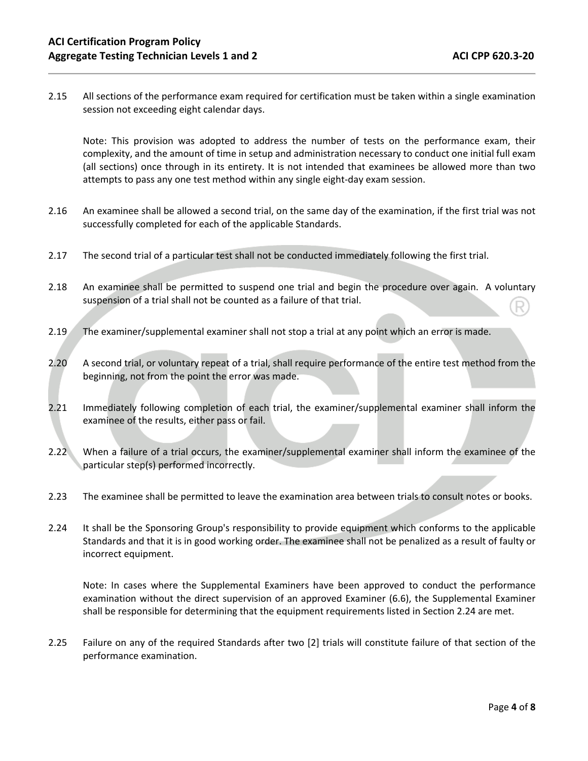2.15 All sections of the performance exam required for certification must be taken within a single examination session not exceeding eight calendar days.

Note: This provision was adopted to address the number of tests on the performance exam, their complexity, and the amount of time in setup and administration necessary to conduct one initial full exam (all sections) once through in its entirety. It is not intended that examinees be allowed more than two attempts to pass any one test method within any single eight‐day exam session.

- 2.16 An examinee shall be allowed a second trial, on the same day of the examination, if the first trial was not successfully completed for each of the applicable Standards.
- 2.17 The second trial of a particular test shall not be conducted immediately following the first trial.
- 2.18 An examinee shall be permitted to suspend one trial and begin the procedure over again. A voluntary suspension of a trial shall not be counted as a failure of that trial.
- 2.19 The examiner/supplemental examiner shall not stop a trial at any point which an error is made.
- 2.20 A second trial, or voluntary repeat of a trial, shall require performance of the entire test method from the beginning, not from the point the error was made.
- 2.21 Immediately following completion of each trial, the examiner/supplemental examiner shall inform the examinee of the results, either pass or fail.
- 2.22 When a failure of a trial occurs, the examiner/supplemental examiner shall inform the examinee of the particular step(s) performed incorrectly.
- 2.23 The examinee shall be permitted to leave the examination area between trials to consult notes or books.
- 2.24 It shall be the Sponsoring Group's responsibility to provide equipment which conforms to the applicable Standards and that it is in good working order. The examinee shall not be penalized as a result of faulty or incorrect equipment.

Note: In cases where the Supplemental Examiners have been approved to conduct the performance examination without the direct supervision of an approved Examiner (6.6), the Supplemental Examiner shall be responsible for determining that the equipment requirements listed in Section 2.24 are met.

2.25 Failure on any of the required Standards after two [2] trials will constitute failure of that section of the performance examination.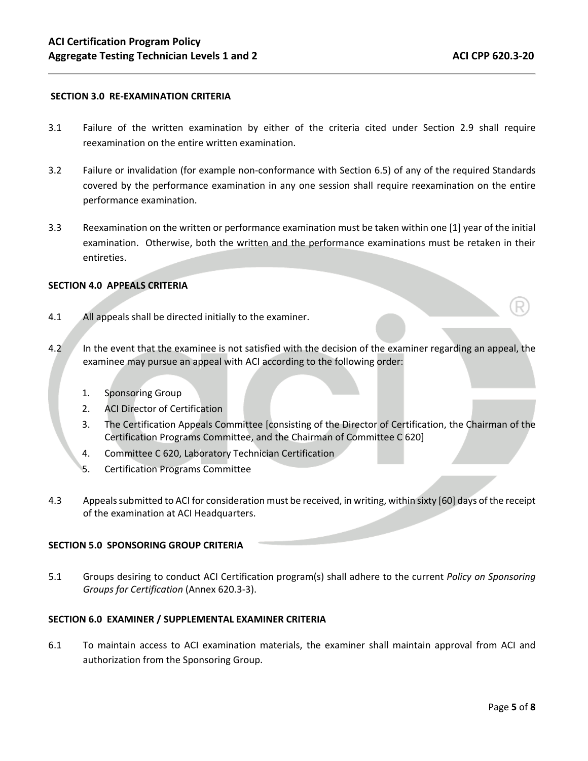#### **SECTION 3.0 RE‐EXAMINATION CRITERIA**

- 3.1 Failure of the written examination by either of the criteria cited under Section 2.9 shall require reexamination on the entire written examination.
- 3.2 Failure or invalidation (for example non‐conformance with Section 6.5) of any of the required Standards covered by the performance examination in any one session shall require reexamination on the entire performance examination.
- 3.3 Reexamination on the written or performance examination must be taken within one [1] year of the initial examination. Otherwise, both the written and the performance examinations must be retaken in their entireties.

#### **SECTION 4.0 APPEALS CRITERIA**

- 4.1 All appeals shall be directed initially to the examiner.
- 4.2 In the event that the examinee is not satisfied with the decision of the examiner regarding an appeal, the examinee may pursue an appeal with ACI according to the following order:
	- 1. Sponsoring Group
	- 2. ACI Director of Certification
	- 3. The Certification Appeals Committee [consisting of the Director of Certification, the Chairman of the Certification Programs Committee, and the Chairman of Committee C 620]
	- 4. Committee C 620, Laboratory Technician Certification
	- 5. Certification Programs Committee
- 4.3 Appeals submitted to ACI for consideration must be received, in writing, within sixty [60] days of the receipt of the examination at ACI Headquarters.

#### **SECTION 5.0 SPONSORING GROUP CRITERIA**

5.1 Groups desiring to conduct ACI Certification program(s) shall adhere to the current *Policy on Sponsoring Groups for Certification* (Annex 620.3‐3).

#### **SECTION 6.0 EXAMINER / SUPPLEMENTAL EXAMINER CRITERIA**

6.1 To maintain access to ACI examination materials, the examiner shall maintain approval from ACI and authorization from the Sponsoring Group.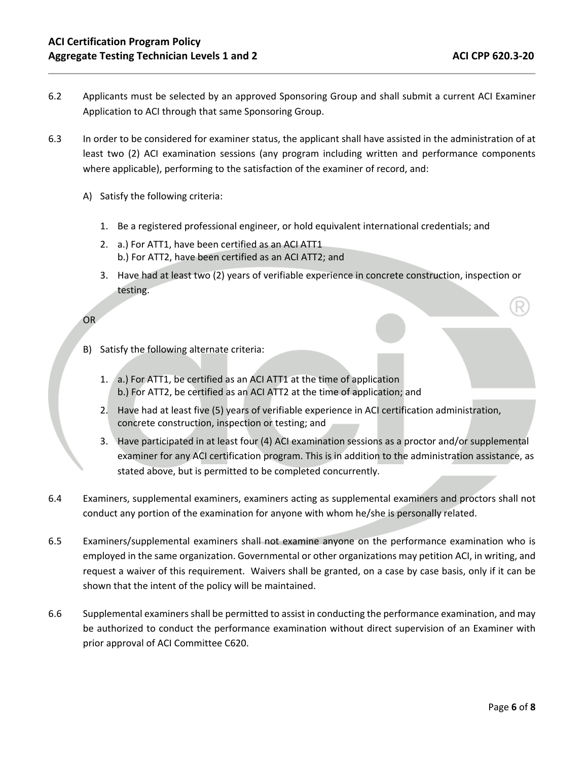- 6.2 Applicants must be selected by an approved Sponsoring Group and shall submit a current ACI Examiner Application to ACI through that same Sponsoring Group.
- 6.3 In order to be considered for examiner status, the applicant shall have assisted in the administration of at least two (2) ACI examination sessions (any program including written and performance components where applicable), performing to the satisfaction of the examiner of record, and:
	- A) Satisfy the following criteria:
		- 1. Be a registered professional engineer, or hold equivalent international credentials; and
		- 2. a.) For ATT1, have been certified as an ACI ATT1 b.) For ATT2, have been certified as an ACI ATT2; and
		- 3. Have had at least two (2) years of verifiable experience in concrete construction, inspection or testing.

```
OR
```
- B) Satisfy the following alternate criteria:
	- 1. a.) For ATT1, be certified as an ACI ATT1 at the time of application b.) For ATT2, be certified as an ACI ATT2 at the time of application; and
	- 2. Have had at least five (5) years of verifiable experience in ACI certification administration, concrete construction, inspection or testing; and
	- 3. Have participated in at least four (4) ACI examination sessions as a proctor and/or supplemental examiner for any ACI certification program. This is in addition to the administration assistance, as stated above, but is permitted to be completed concurrently.
- 6.4 Examiners, supplemental examiners, examiners acting as supplemental examiners and proctors shall not conduct any portion of the examination for anyone with whom he/she is personally related.
- 6.5 Examiners/supplemental examiners shall not examine anyone on the performance examination who is employed in the same organization. Governmental or other organizations may petition ACI, in writing, and request a waiver of this requirement. Waivers shall be granted, on a case by case basis, only if it can be shown that the intent of the policy will be maintained.
- 6.6 Supplemental examiners shall be permitted to assist in conducting the performance examination, and may be authorized to conduct the performance examination without direct supervision of an Examiner with prior approval of ACI Committee C620.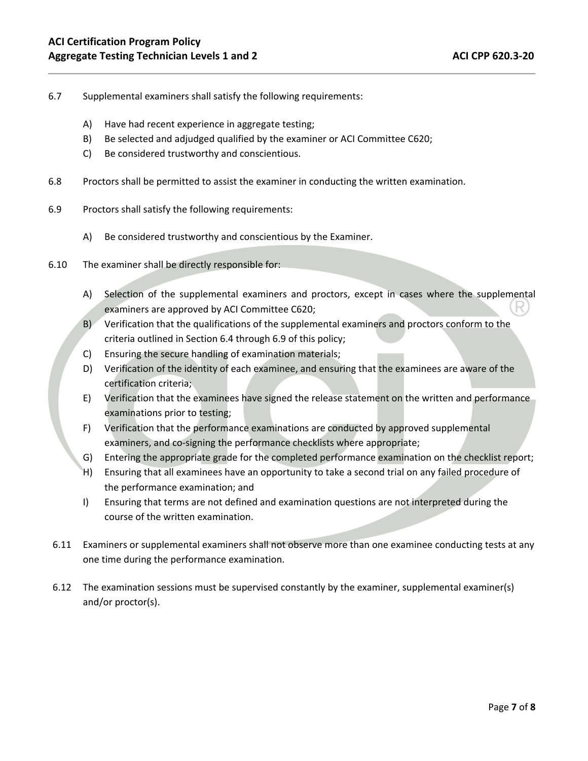- 6.7 Supplemental examiners shall satisfy the following requirements:
	- A) Have had recent experience in aggregate testing;
	- B) Be selected and adjudged qualified by the examiner or ACI Committee C620;
	- C) Be considered trustworthy and conscientious.
- 6.8 Proctors shall be permitted to assist the examiner in conducting the written examination.
- 6.9 Proctors shall satisfy the following requirements:
	- A) Be considered trustworthy and conscientious by the Examiner.
- 6.10 The examiner shall be directly responsible for:
	- A) Selection of the supplemental examiners and proctors, except in cases where the supplemental examiners are approved by ACI Committee C620;
	- B) Verification that the qualifications of the supplemental examiners and proctors conform to the criteria outlined in Section 6.4 through 6.9 of this policy;
	- C) Ensuring the secure handling of examination materials;
	- D) Verification of the identity of each examinee, and ensuring that the examinees are aware of the certification criteria;
	- E) Verification that the examinees have signed the release statement on the written and performance examinations prior to testing;
	- F) Verification that the performance examinations are conducted by approved supplemental examiners, and co-signing the performance checklists where appropriate;
	- G) Entering the appropriate grade for the completed performance examination on the checklist report;
	- H) Ensuring that all examinees have an opportunity to take a second trial on any failed procedure of the performance examination; and
	- I) Ensuring that terms are not defined and examination questions are not interpreted during the course of the written examination.
- 6.11 Examiners or supplemental examiners shall not observe more than one examinee conducting tests at any one time during the performance examination.
- 6.12 The examination sessions must be supervised constantly by the examiner, supplemental examiner(s) and/or proctor(s).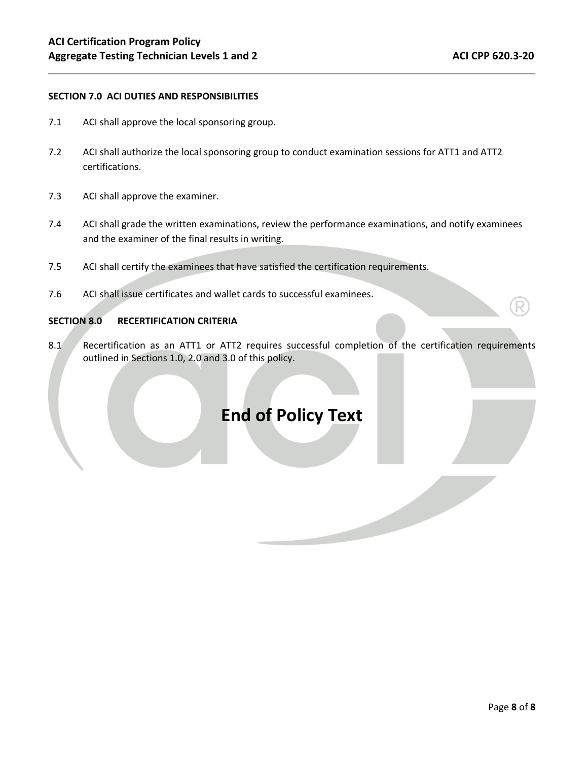#### **SECTION 7.0 ACI DUTIES AND RESPONSIBILITIES**

- 7.1 ACI shall approve the local sponsoring group.
- 7.2 ACI shall authorize the local sponsoring group to conduct examination sessions for ATT1 and ATT2 certifications.
- 7.3 ACI shall approve the examiner.
- 7.4 ACI shall grade the written examinations, review the performance examinations, and notify examinees and the examiner of the final results in writing.
- 7.5 ACI shall certify the examinees that have satisfied the certification requirements.
- 7.6 ACI shall issue certificates and wallet cards to successful examinees.

#### **SECTION 8.0 RECERTIFICATION CRITERIA**

8.1 Recertification as an ATT1 or ATT2 requires successful completion of the certification requirements outlined in Sections 1.0, 2.0 and 3.0 of this policy.

# **End of Policy Text**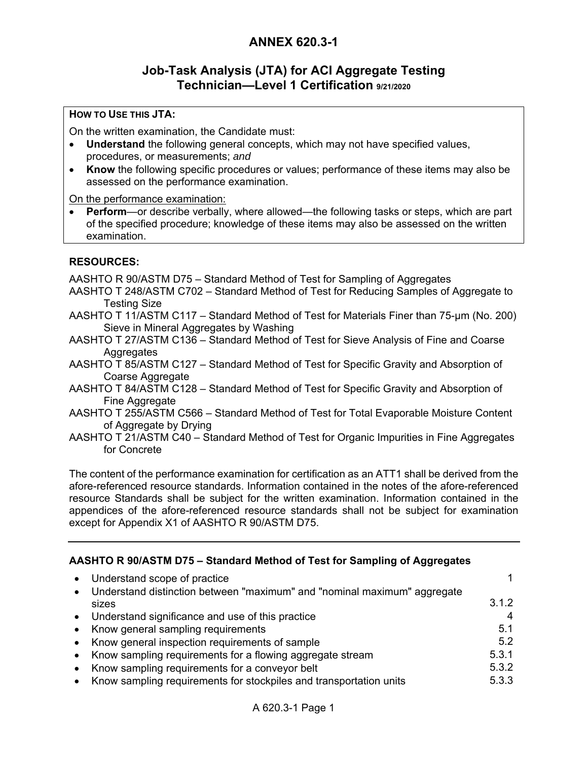### **Job-Task Analysis (JTA) for ACI Aggregate Testing Technician—Level 1 Certification 9/21/2020**

### **HOW TO USE THIS JTA:**

On the written examination, the Candidate must:

- **Understand** the following general concepts, which may not have specified values, procedures, or measurements; *and*
- **Know** the following specific procedures or values; performance of these items may also be assessed on the performance examination.

On the performance examination:

 **Perform**—or describe verbally, where allowed—the following tasks or steps, which are part of the specified procedure; knowledge of these items may also be assessed on the written examination.

### **RESOURCES:**

AASHTO R 90/ASTM D75 – Standard Method of Test for Sampling of Aggregates

- AASHTO T 248/ASTM C702 Standard Method of Test for Reducing Samples of Aggregate to Testing Size
- AASHTO T 11/ASTM C117 Standard Method of Test for Materials Finer than 75-µm (No. 200) Sieve in Mineral Aggregates by Washing
- AASHTO T 27/ASTM C136 Standard Method of Test for Sieve Analysis of Fine and Coarse **Aggregates**
- AASHTO T 85/ASTM C127 Standard Method of Test for Specific Gravity and Absorption of Coarse Aggregate
- AASHTO T 84/ASTM C128 Standard Method of Test for Specific Gravity and Absorption of Fine Aggregate
- AASHTO T 255/ASTM C566 Standard Method of Test for Total Evaporable Moisture Content of Aggregate by Drying
- AASHTO T 21/ASTM C40 Standard Method of Test for Organic Impurities in Fine Aggregates for Concrete

The content of the performance examination for certification as an ATT1 shall be derived from the afore-referenced resource standards. Information contained in the notes of the afore-referenced resource Standards shall be subject for the written examination. Information contained in the appendices of the afore-referenced resource standards shall not be subject for examination except for Appendix X1 of AASHTO R 90/ASTM D75.

### **AASHTO R 90/ASTM D75 – Standard Method of Test for Sampling of Aggregates**

| • Understand scope of practice<br>• Understand distinction between "maximum" and "nominal maximum" aggregate | 1     |
|--------------------------------------------------------------------------------------------------------------|-------|
| sizes                                                                                                        | 3.1.2 |
| • Understand significance and use of this practice                                                           | 4     |
| • Know general sampling requirements                                                                         | 5.1   |
| • Know general inspection requirements of sample                                                             | 5.2   |
| • Know sampling requirements for a flowing aggregate stream                                                  | 5.3.1 |
| • Know sampling requirements for a conveyor belt                                                             | 5.3.2 |
| • Know sampling requirements for stockpiles and transportation units                                         | 5.3.3 |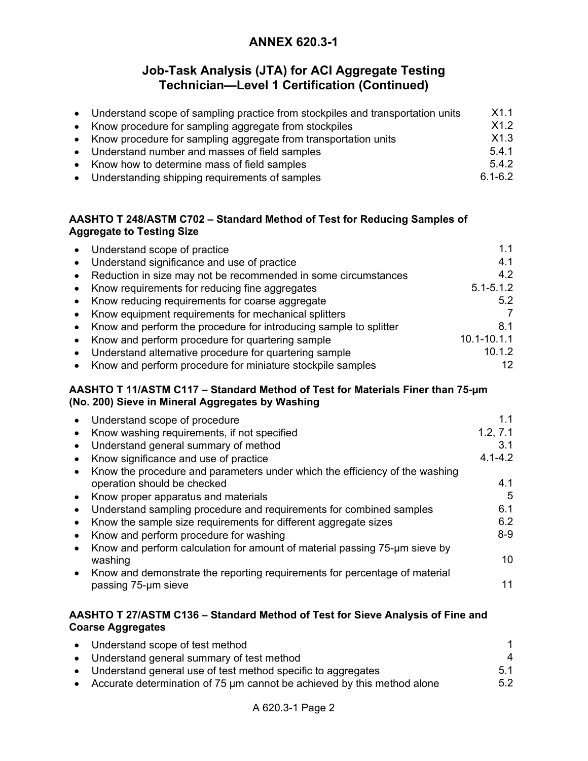## **Job-Task Analysis (JTA) for ACI Aggregate Testing Technician—Level 1 Certification (Continued)**

| • Understand scope of sampling practice from stockpiles and transportation units | X1.1        |
|----------------------------------------------------------------------------------|-------------|
| • Know procedure for sampling aggregate from stockpiles                          | X1.2        |
| • Know procedure for sampling aggregate from transportation units                | X1.3        |
| • Understand number and masses of field samples                                  | 5.4.1       |
| • Know how to determine mass of field samples                                    | 5.4.2       |
| • Understanding shipping requirements of samples                                 | $6.1 - 6.2$ |

### **AASHTO T 248/ASTM C702 – Standard Method of Test for Reducing Samples of Aggregate to Testing Size**

|           | Understand scope of practice                                                | 1.1                                                                            |
|-----------|-----------------------------------------------------------------------------|--------------------------------------------------------------------------------|
|           | Understand significance and use of practice                                 | 4.1                                                                            |
|           | Reduction in size may not be recommended in some circumstances              | 4.2                                                                            |
|           | Know requirements for reducing fine aggregates                              | $5.1 - 5.1.2$                                                                  |
|           | Know reducing requirements for coarse aggregate                             | 5.2                                                                            |
|           | Know equipment requirements for mechanical splitters                        | 7                                                                              |
|           | Know and perform the procedure for introducing sample to splitter           | 8.1                                                                            |
|           | Know and perform procedure for quartering sample                            | $10.1 - 10.1.1$                                                                |
| $\bullet$ | Understand alternative procedure for quartering sample                      | 10.1.2                                                                         |
|           | Know and perform procedure for miniature stockpile samples                  | 12                                                                             |
|           |                                                                             | AASHTO T 11/ASTM C117 - Standard Method of Test for Materials Finer than 75-um |
|           | (No. 200) Sieve in Mineral Aggregates by Washing                            |                                                                                |
|           | Understand scope of procedure                                               | 1.1                                                                            |
|           | Know washing requirements, if not specified                                 | 1.2, 7.1                                                                       |
|           | Understand general summary of method                                        | 3.1                                                                            |
| $\bullet$ | Know significance and use of practice                                       | $4.1 - 4.2$                                                                    |
|           | Know the procedure and parameters under which the efficiency of the washing |                                                                                |
|           | operation should be checked                                                 | 4.1                                                                            |
| $\bullet$ | Know proper apparatus and materials                                         | 5                                                                              |
|           | Understand sampling procedure and requirements for combined samples         | 6.1                                                                            |

- Know and perform procedure for washing 8-9
- Know and perform calculation for amount of material passing 75-um sieve by washing the contract of the contract of the contract of the contract of the contract of the contract of the co
- Know and demonstrate the reporting requirements for percentage of material passing 75-um sieve 11

### **AASHTO T 27/ASTM C136 – Standard Method of Test for Sieve Analysis of Fine and Coarse Aggregates**

| • Understand scope of test method                                         |     |
|---------------------------------------------------------------------------|-----|
| • Understand general summary of test method                               | 4   |
| • Understand general use of test method specific to aggregates            | 51  |
| • Accurate determination of 75 µm cannot be achieved by this method alone | 5.2 |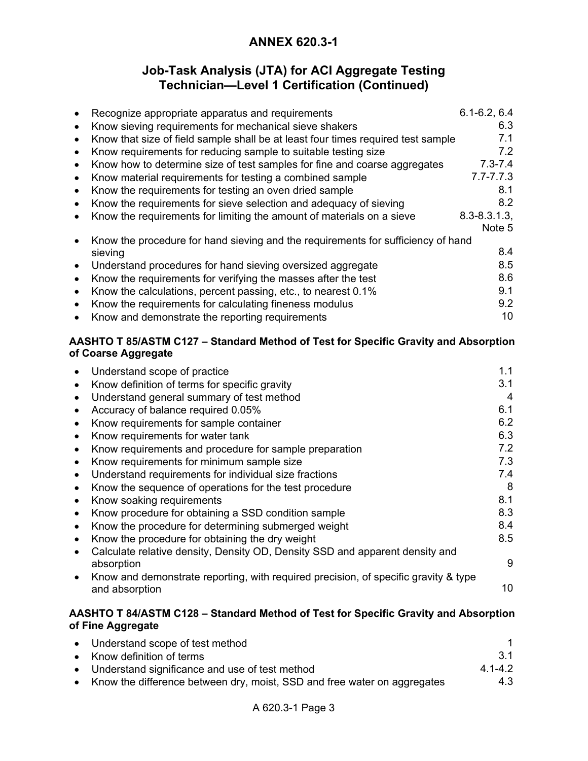# **Job-Task Analysis (JTA) for ACI Aggregate Testing Technician—Level 1 Certification (Continued)**

| $\bullet$ | Recognize appropriate apparatus and requirements                                    | $6.1 - 6.2, 6.4$ |
|-----------|-------------------------------------------------------------------------------------|------------------|
| $\bullet$ | Know sieving requirements for mechanical sieve shakers                              | 6.3              |
| $\bullet$ | Know that size of field sample shall be at least four times required test sample    | 7.1              |
| $\bullet$ | Know requirements for reducing sample to suitable testing size                      | 7.2              |
| $\bullet$ | Know how to determine size of test samples for fine and coarse aggregates           | $7.3 - 7.4$      |
| $\bullet$ | Know material requirements for testing a combined sample                            | $7.7 - 7.7.3$    |
|           | Know the requirements for testing an oven dried sample                              | 8.1              |
| $\bullet$ | Know the requirements for sieve selection and adequacy of sieving                   | 8.2              |
|           | Know the requirements for limiting the amount of materials on a sieve               | $8.3 - 8.3.1.3$  |
|           |                                                                                     | Note 5           |
|           | Know the procedure for hand sieving and the requirements for sufficiency of hand    |                  |
|           | sieving                                                                             | 8.4              |
| $\bullet$ | Understand procedures for hand sieving oversized aggregate                          | 8.5              |
| $\bullet$ | Know the requirements for verifying the masses after the test                       | 8.6              |
|           | Know the calculations, percent passing, etc., to nearest 0.1%                       | 9.1              |
| $\bullet$ | Know the requirements for calculating fineness modulus                              | 9.2              |
| $\bullet$ | Know and demonstrate the reporting requirements                                     | 10               |
|           | AASHTO T 85/ASTM C127 – Standard Method of Test for Specific Gravity and Absorption |                  |
|           | of Coarse Aggregate                                                                 |                  |
|           | Understand scope of practice                                                        | 1.1              |
| ٠         | Know definition of terms for specific gravity                                       | 3.1              |
| $\bullet$ | Understand general summary of test method                                           | 4                |
| $\bullet$ | Accuracy of balance required 0.05%                                                  | 6.1              |
| $\bullet$ | Know requirements for sample container                                              | 6.2              |
| $\bullet$ | Know requirements for water tank                                                    | 6.3              |
| $\bullet$ | Know requirements and procedure for sample preparation                              | 7.2              |
|           | Know requirements for minimum sample size                                           | 7.3              |
|           | Understand requirements for individual size fractions                               | 7.4              |

- Know the sequence of operations for the test procedure<br>• Know soaking requirements • Know soaking requirements • Know procedure for obtaining a SSD condition sample 8.3
- Know the procedure for determining submerged weight 8.4
- Know the procedure for obtaining the dry weight **8.5**
- Calculate relative density, Density OD, Density SSD and apparent density and absorption 9
- Know and demonstrate reporting, with required precision, of specific gravity & type and absorption and absorption the contract of the contract of the contract of the contract of the contract of the contract of the contract of the contract of the contract of the contract of the contract of the contract of

### **AASHTO T 84/ASTM C128 – Standard Method of Test for Specific Gravity and Absorption of Fine Aggregate**

| • Understand scope of test method                                          |             |
|----------------------------------------------------------------------------|-------------|
| • Know definition of terms                                                 | -3.1        |
| • Understand significance and use of test method                           | $4.1 - 4.2$ |
| • Know the difference between dry, moist, SSD and free water on aggregates | 4.3         |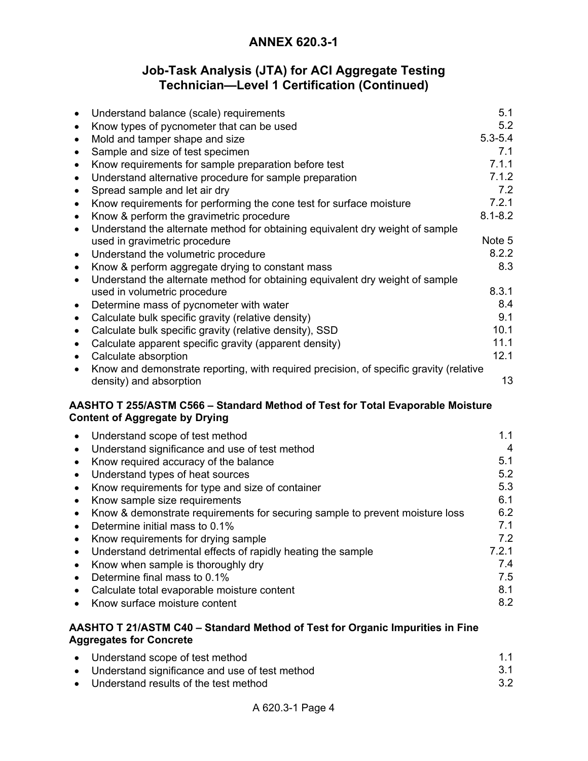# **Job-Task Analysis (JTA) for ACI Aggregate Testing Technician—Level 1 Certification (Continued)**

|           | Understand balance (scale) requirements                                                                                 | 5.1            |
|-----------|-------------------------------------------------------------------------------------------------------------------------|----------------|
|           | Know types of pycnometer that can be used                                                                               | 5.2            |
| ٠         | Mold and tamper shape and size                                                                                          | $5.3 - 5.4$    |
| ٠         | Sample and size of test specimen                                                                                        | 7.1            |
| ٠         | Know requirements for sample preparation before test                                                                    | 7.1.1          |
| $\bullet$ | Understand alternative procedure for sample preparation                                                                 | 7.1.2          |
| $\bullet$ | Spread sample and let air dry                                                                                           | 7.2            |
| ٠         | Know requirements for performing the cone test for surface moisture                                                     | 7.2.1          |
| $\bullet$ | Know & perform the gravimetric procedure                                                                                | $8.1 - 8.2$    |
| $\bullet$ | Understand the alternate method for obtaining equivalent dry weight of sample                                           |                |
|           | used in gravimetric procedure                                                                                           | Note 5         |
| $\bullet$ | Understand the volumetric procedure                                                                                     | 8.2.2          |
| $\bullet$ | Know & perform aggregate drying to constant mass                                                                        | 8.3            |
| $\bullet$ | Understand the alternate method for obtaining equivalent dry weight of sample                                           |                |
|           | used in volumetric procedure                                                                                            | 8.3.1          |
| $\bullet$ | Determine mass of pycnometer with water                                                                                 | 8.4            |
| $\bullet$ | Calculate bulk specific gravity (relative density)                                                                      | 9.1            |
| ٠         | Calculate bulk specific gravity (relative density), SSD                                                                 | 10.1           |
|           | Calculate apparent specific gravity (apparent density)                                                                  | 11.1           |
|           | Calculate absorption                                                                                                    | 12.1           |
|           | Know and demonstrate reporting, with required precision, of specific gravity (relative                                  |                |
|           | density) and absorption                                                                                                 | 13             |
|           | AASHTO T 255/ASTM C566 - Standard Method of Test for Total Evaporable Moisture<br><b>Content of Aggregate by Drying</b> |                |
| $\bullet$ | Understand scope of test method                                                                                         | 1.1            |
| $\bullet$ | Understand significance and use of test method                                                                          | $\overline{4}$ |
| $\bullet$ | Know required accuracy of the balance                                                                                   | 5.1            |
| $\bullet$ | Understand types of heat sources                                                                                        | 5.2            |
| $\bullet$ | Know requirements for type and size of container                                                                        | 5.3            |
| $\bullet$ | Know sample size requirements                                                                                           | 6.1            |
|           | Know & demonstrate requirements for securing sample to prevent moisture loss                                            | 6.2            |
| $\bullet$ | Determine initial mass to 0.1%                                                                                          | 7.1            |
|           | Know requirements for drying sample                                                                                     | 7.2            |
|           | Understand detrimental effects of rapidly heating the sample                                                            | 7.2.1          |
|           | Know when sample is thoroughly dry                                                                                      | 7.4            |
| ٠         | Determine final mass to 0.1%                                                                                            | 7.5            |
|           |                                                                                                                         | 8.1            |
|           | Calculate total evaporable moisture content                                                                             |                |
|           | Know surface moisture content                                                                                           | 8.2            |
|           | AASHTO T 21/ASTM C40 - Standard Method of Test for Organic Impurities in Fine<br><b>Aggregates for Concrete</b>         |                |

| • Understand scope of test method                | 1.1 |
|--------------------------------------------------|-----|
| • Understand significance and use of test method | 3.1 |
| • Understand results of the test method          | 3.2 |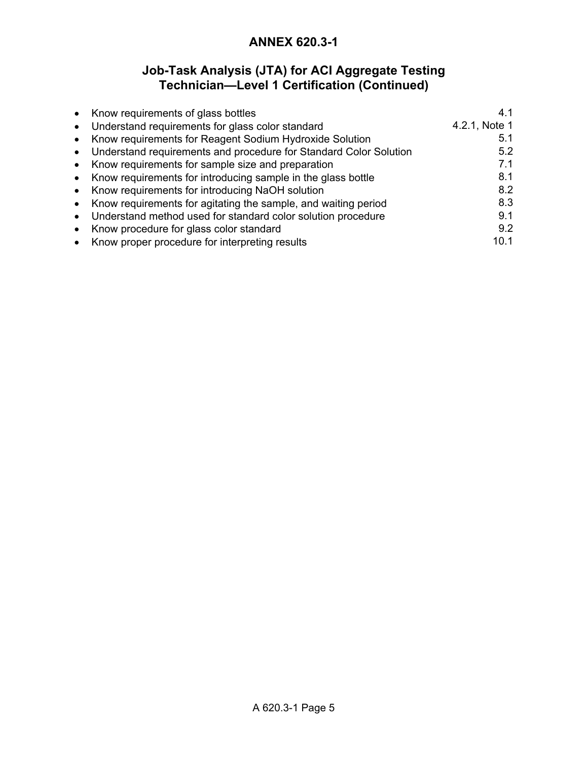# **Job-Task Analysis (JTA) for ACI Aggregate Testing Technician—Level 1 Certification (Continued)**

|           | • Know requirements of glass bottles                                | 4.1           |
|-----------|---------------------------------------------------------------------|---------------|
|           | • Understand requirements for glass color standard                  | 4.2.1, Note 1 |
|           | • Know requirements for Reagent Sodium Hydroxide Solution           | 5.1           |
|           | • Understand requirements and procedure for Standard Color Solution | 5.2           |
|           | • Know requirements for sample size and preparation                 | 7.1           |
|           | • Know requirements for introducing sample in the glass bottle      | 8.1           |
|           | • Know requirements for introducing NaOH solution                   | 8.2           |
|           | • Know requirements for agitating the sample, and waiting period    | 8.3           |
| $\bullet$ | Understand method used for standard color solution procedure        | 9.1           |
| $\bullet$ | Know procedure for glass color standard                             | 9.2           |
|           | • Know proper procedure for interpreting results                    | 10.1          |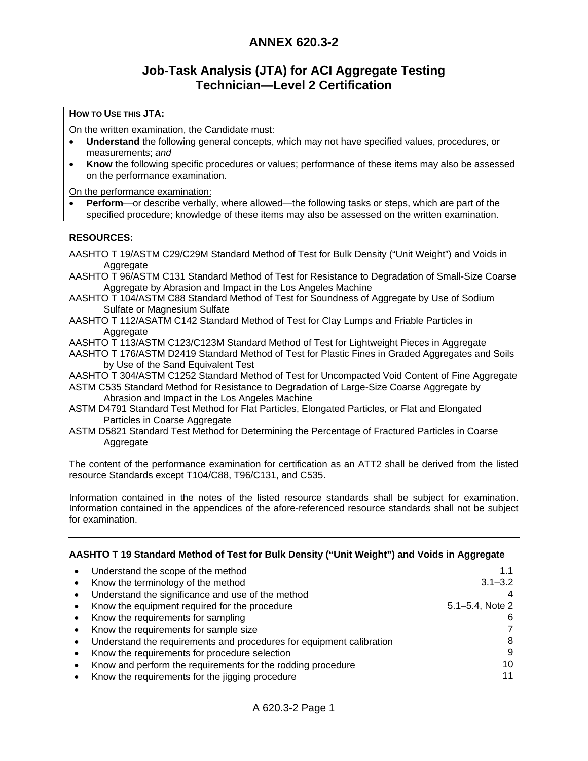### **Job-Task Analysis (JTA) for ACI Aggregate Testing Technician—Level 2 Certification**

### **HOW TO USE THIS JTA:**

On the written examination, the Candidate must:

- **Understand** the following general concepts, which may not have specified values, procedures, or measurements; *and*
- **Know** the following specific procedures or values; performance of these items may also be assessed on the performance examination.

On the performance examination:

**Perform**—or describe verbally, where allowed—the following tasks or steps, which are part of the specified procedure; knowledge of these items may also be assessed on the written examination.

### **RESOURCES:**

- AASHTO T 19/ASTM C29/C29M Standard Method of Test for Bulk Density ("Unit Weight") and Voids in Aggregate
- AASHTO T 96/ASTM C131 Standard Method of Test for Resistance to Degradation of Small-Size Coarse Aggregate by Abrasion and Impact in the Los Angeles Machine
- AASHTO T 104/ASTM C88 Standard Method of Test for Soundness of Aggregate by Use of Sodium Sulfate or Magnesium Sulfate
- AASHTO T 112/ASATM C142 Standard Method of Test for Clay Lumps and Friable Particles in Aggregate
- AASHTO T 113/ASTM C123/C123M Standard Method of Test for Lightweight Pieces in Aggregate
- AASHTO T 176/ASTM D2419 Standard Method of Test for Plastic Fines in Graded Aggregates and Soils by Use of the Sand Equivalent Test
- AASHTO T 304/ASTM C1252 Standard Method of Test for Uncompacted Void Content of Fine Aggregate ASTM C535 Standard Method for Resistance to Degradation of Large-Size Coarse Aggregate by Abrasion and Impact in the Los Angeles Machine
- ASTM D4791 Standard Test Method for Flat Particles, Elongated Particles, or Flat and Elongated Particles in Coarse Aggregate
- ASTM D5821 Standard Test Method for Determining the Percentage of Fractured Particles in Coarse Aggregate

The content of the performance examination for certification as an ATT2 shall be derived from the listed resource Standards except T104/C88, T96/C131, and C535.

Information contained in the notes of the listed resource standards shall be subject for examination. Information contained in the appendices of the afore-referenced resource standards shall not be subject for examination.

### **AASHTO T 19 Standard Method of Test for Bulk Density ("Unit Weight") and Voids in Aggregate**

| Understand the scope of the method<br>$\bullet$                      |                 |
|----------------------------------------------------------------------|-----------------|
| Know the terminology of the method<br>$\bullet$                      | $3.1 - 3.2$     |
| Understand the significance and use of the method<br>$\bullet$       |                 |
| Know the equipment required for the procedure<br>$\bullet$           | 5.1–5.4, Note 2 |
| Know the requirements for sampling<br>$\bullet$                      | 6               |
| Know the requirements for sample size<br>$\bullet$                   |                 |
| Understand the requirements and procedures for equipment calibration | 8               |
| Know the requirements for procedure selection<br>$\bullet$           | 9               |
| Know and perform the requirements for the rodding procedure          | 10              |
| Know the requirements for the jigging procedure                      | 11              |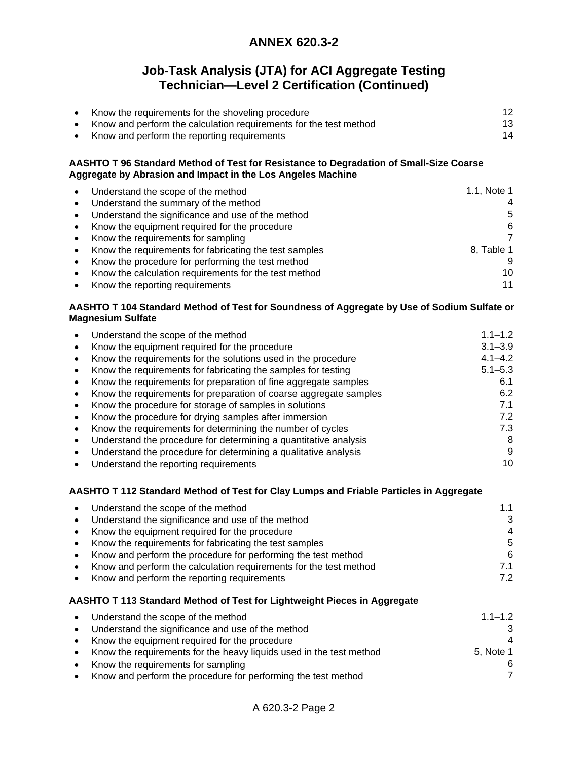# **Job-Task Analysis (JTA) for ACI Aggregate Testing Technician—Level 2 Certification (Continued)**

| Know the requirements for the shoveling procedure                 | 12 |
|-------------------------------------------------------------------|----|
| Know and perform the calculation requirements for the test method | 13 |
| Know and perform the reporting requirements                       | 14 |

### **AASHTO T 96 Standard Method of Test for Resistance to Degradation of Small-Size Coarse Aggregate by Abrasion and Impact in the Los Angeles Machine**

| $\bullet$ | Understand the scope of the method                     | 1.1, Note 1 |
|-----------|--------------------------------------------------------|-------------|
| $\bullet$ | Understand the summary of the method                   | 4           |
| $\bullet$ | Understand the significance and use of the method      | 5           |
|           | • Know the equipment required for the procedure        | 6           |
|           | • Know the requirements for sampling                   | 7           |
| $\bullet$ | Know the requirements for fabricating the test samples | 8, Table 1  |
| $\bullet$ | Know the procedure for performing the test method      | 9           |
| $\bullet$ | Know the calculation requirements for the test method  | 10          |
| $\bullet$ | Know the reporting requirements                        | 11          |

### **AASHTO T 104 Standard Method of Test for Soundness of Aggregate by Use of Sodium Sulfate or Magnesium Sulfate**

| Understand the scope of the method                                | $1.1 - 1.2$ |
|-------------------------------------------------------------------|-------------|
| Know the equipment required for the procedure                     | $3.1 - 3.9$ |
| Know the requirements for the solutions used in the procedure     | $4.1 - 4.2$ |
| Know the requirements for fabricating the samples for testing     | $5.1 - 5.3$ |
| Know the requirements for preparation of fine aggregate samples   | 6.1         |
| Know the requirements for preparation of coarse aggregate samples | 6.2         |
| Know the procedure for storage of samples in solutions            | 7.1         |
| Know the procedure for drying samples after immersion             | 7.2         |
| Know the requirements for determining the number of cycles        | 7.3         |
| Understand the procedure for determining a quantitative analysis  | 8           |
| Understand the procedure for determining a qualitative analysis   | 9           |
| Understand the reporting requirements                             | 10          |

### **AASHTO T 112 Standard Method of Test for Clay Lumps and Friable Particles in Aggregate**

| $\bullet$ | Understand the scope of the method                                  | 1.1            |
|-----------|---------------------------------------------------------------------|----------------|
| $\bullet$ | Understand the significance and use of the method                   | 3              |
|           | • Know the equipment required for the procedure                     | $\overline{4}$ |
|           | • Know the requirements for fabricating the test samples            | 5              |
|           | • Know and perform the procedure for performing the test method     | 6              |
|           | • Know and perform the calculation requirements for the test method | 7.1            |
|           | • Know and perform the reporting requirements                       | 7.2            |
|           |                                                                     |                |

### **AASHTO T 113 Standard Method of Test for Lightweight Pieces in Aggregate**

| $\bullet$ | Understand the scope of the method                                    | $1.1 - 1.2$    |
|-----------|-----------------------------------------------------------------------|----------------|
| $\bullet$ | Understand the significance and use of the method                     | 3              |
|           | • Know the equipment required for the procedure                       | $\overline{4}$ |
|           | • Know the requirements for the heavy liquids used in the test method | 5. Note 1      |
| $\bullet$ | Know the requirements for sampling                                    | 6              |
|           | • Know and perform the procedure for performing the test method       | 7              |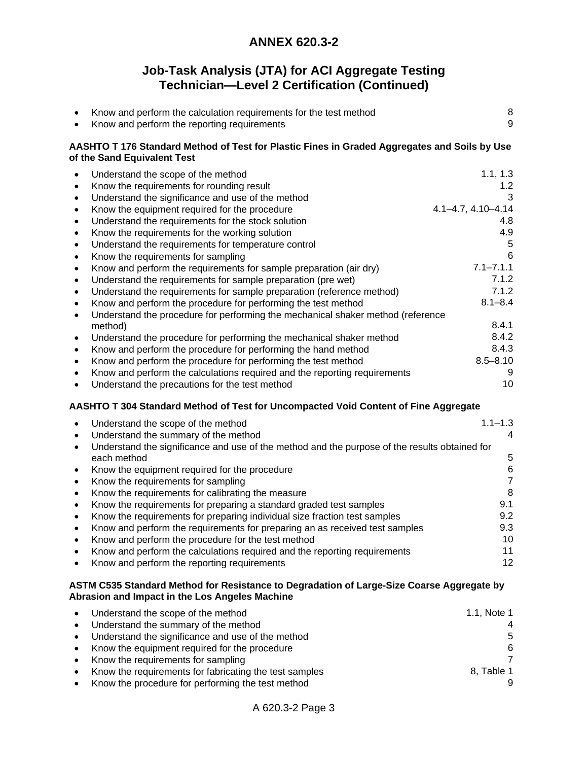# **Job-Task Analysis (JTA) for ACI Aggregate Testing Technician—Level 2 Certification (Continued)**

|                                                                                                                                                                                         | Know and perform the calculation requirements for the test method<br>Know and perform the reporting requirements                                                                                                                                                                                                                                                                                                                                                                                                                                                                                                                                                                                                                                                                                                                                                                                                                                                                                                                                                                                                  | 8<br>9                                                                                                                                                                           |
|-----------------------------------------------------------------------------------------------------------------------------------------------------------------------------------------|-------------------------------------------------------------------------------------------------------------------------------------------------------------------------------------------------------------------------------------------------------------------------------------------------------------------------------------------------------------------------------------------------------------------------------------------------------------------------------------------------------------------------------------------------------------------------------------------------------------------------------------------------------------------------------------------------------------------------------------------------------------------------------------------------------------------------------------------------------------------------------------------------------------------------------------------------------------------------------------------------------------------------------------------------------------------------------------------------------------------|----------------------------------------------------------------------------------------------------------------------------------------------------------------------------------|
|                                                                                                                                                                                         | AASHTO T 176 Standard Method of Test for Plastic Fines in Graded Aggregates and Soils by Use<br>of the Sand Equivalent Test                                                                                                                                                                                                                                                                                                                                                                                                                                                                                                                                                                                                                                                                                                                                                                                                                                                                                                                                                                                       |                                                                                                                                                                                  |
| $\bullet$<br>$\bullet$<br>$\bullet$<br>$\bullet$<br>$\bullet$<br>$\bullet$<br>$\bullet$<br>$\bullet$<br>$\bullet$<br>$\bullet$<br>$\bullet$<br>$\bullet$<br>٠<br>$\bullet$<br>$\bullet$ | Understand the scope of the method<br>Know the requirements for rounding result<br>Understand the significance and use of the method<br>Know the equipment required for the procedure<br>Understand the requirements for the stock solution<br>Know the requirements for the working solution<br>Understand the requirements for temperature control<br>Know the requirements for sampling<br>Know and perform the requirements for sample preparation (air dry)<br>Understand the requirements for sample preparation (pre wet)<br>Understand the requirements for sample preparation (reference method)<br>Know and perform the procedure for performing the test method<br>Understand the procedure for performing the mechanical shaker method (reference<br>method)<br>Understand the procedure for performing the mechanical shaker method<br>Know and perform the procedure for performing the hand method<br>Know and perform the procedure for performing the test method<br>Know and perform the calculations required and the reporting requirements<br>Understand the precautions for the test method | 1.1, 1.3<br>1.2<br>3<br>$4.1 - 4.7, 4.10 - 4.14$<br>4.8<br>4.9<br>5<br>6<br>$7.1 - 7.1.1$<br>7.1.2<br>7.1.2<br>$8.1 - 8.4$<br>8.4.1<br>8.4.2<br>8.4.3<br>$8.5 - 8.10$<br>9<br>10 |
|                                                                                                                                                                                         | AASHTO T 304 Standard Method of Test for Uncompacted Void Content of Fine Aggregate                                                                                                                                                                                                                                                                                                                                                                                                                                                                                                                                                                                                                                                                                                                                                                                                                                                                                                                                                                                                                               |                                                                                                                                                                                  |
| $\bullet$<br>$\bullet$<br>$\bullet$                                                                                                                                                     | Understand the scope of the method<br>Understand the summary of the method<br>Understand the significance and use of the method and the purpose of the results obtained for                                                                                                                                                                                                                                                                                                                                                                                                                                                                                                                                                                                                                                                                                                                                                                                                                                                                                                                                       | $1.1 - 1.3$<br>4                                                                                                                                                                 |
| $\bullet$<br>$\bullet$                                                                                                                                                                  | each method<br>Know the equipment required for the procedure<br>Know the requirements for sampling<br>Know the requirements for calibrating the measure<br>Know the requirements for preparing a standard graded test samples<br>Know the requirements for preparing individual size fraction test samples<br>Know and perform the requirements for preparing an as received test samples                                                                                                                                                                                                                                                                                                                                                                                                                                                                                                                                                                                                                                                                                                                         | 5<br>6<br>$\overline{7}$<br>8<br>9.1<br>9.2<br>9.3                                                                                                                               |
|                                                                                                                                                                                         | Know and norform the procedure for the test mothed                                                                                                                                                                                                                                                                                                                                                                                                                                                                                                                                                                                                                                                                                                                                                                                                                                                                                                                                                                                                                                                                | 10                                                                                                                                                                               |

• Know and perform the procedure for the test method **10** • Know and perform the calculations required and the reporting requirements **11**<br>• Know and perform the reporting requirements • Know and perform the reporting requirements

#### **ASTM C535 Standard Method for Resistance to Degradation of Large-Size Coarse Aggregate by Abrasion and Impact in the Los Angeles Machine**

|           | • Understand the scope of the method                   | 1.1, Note 1 |
|-----------|--------------------------------------------------------|-------------|
|           | • Understand the summary of the method                 |             |
|           | Understand the significance and use of the method      | 5           |
| $\bullet$ | Know the equipment required for the procedure          | 6           |
|           | • Know the requirements for sampling                   |             |
|           | Know the requirements for fabricating the test samples | 8. Table 1  |
|           | Know the procedure for performing the test method      |             |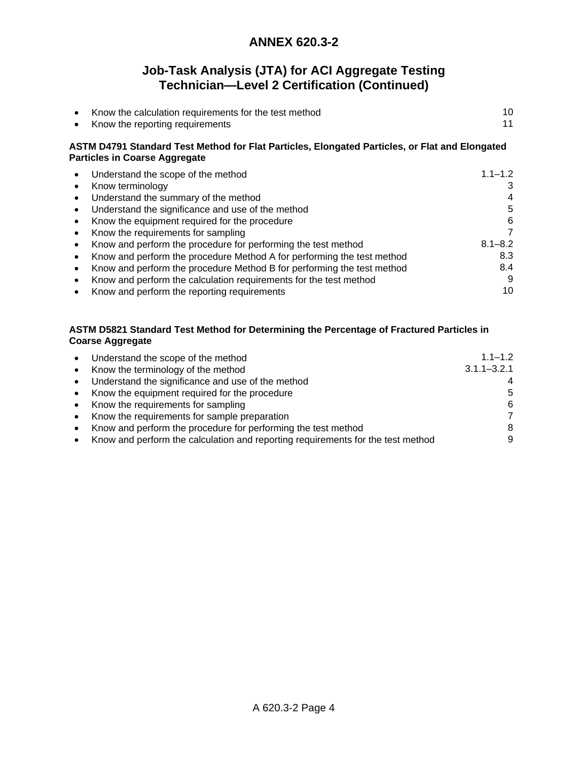# **Job-Task Analysis (JTA) for ACI Aggregate Testing Technician—Level 2 Certification (Continued)**

| Know the calculation requirements for the test method |  |
|-------------------------------------------------------|--|
| Know the reporting requirements                       |  |

### **ASTM D4791 Standard Test Method for Flat Particles, Elongated Particles, or Flat and Elongated Particles in Coarse Aggregate**

| Understand the scope of the method                                             | $1.1 - 1.2$ |
|--------------------------------------------------------------------------------|-------------|
| Know terminology<br>$\bullet$                                                  | 3           |
| Understand the summary of the method                                           | 4           |
| Understand the significance and use of the method                              | 5           |
| Know the equipment required for the procedure<br>$\bullet$                     | 6           |
| Know the requirements for sampling<br>$\bullet$                                | 7           |
| Know and perform the procedure for performing the test method<br>$\bullet$     | $8.1 - 8.2$ |
| Know and perform the procedure Method A for performing the test method         | 8.3         |
| Know and perform the procedure Method B for performing the test method         | 8.4         |
| Know and perform the calculation requirements for the test method<br>$\bullet$ | 9           |
| Know and perform the reporting requirements                                    | 10          |

### **ASTM D5821 Standard Test Method for Determining the Percentage of Fractured Particles in Coarse Aggregate**

| $\bullet$ | Understand the scope of the method                                              | $1.1 - 1.2$     |
|-----------|---------------------------------------------------------------------------------|-----------------|
| $\bullet$ | Know the terminology of the method                                              | $3.1.1 - 3.2.1$ |
|           | Understand the significance and use of the method                               |                 |
| $\bullet$ | Know the equipment required for the procedure                                   | 5               |
| $\bullet$ | Know the requirements for sampling                                              | 6               |
|           | Know the requirements for sample preparation                                    | 7               |
|           | Know and perform the procedure for performing the test method                   | 8               |
|           | Know and perform the calculation and reporting requirements for the test method | 9               |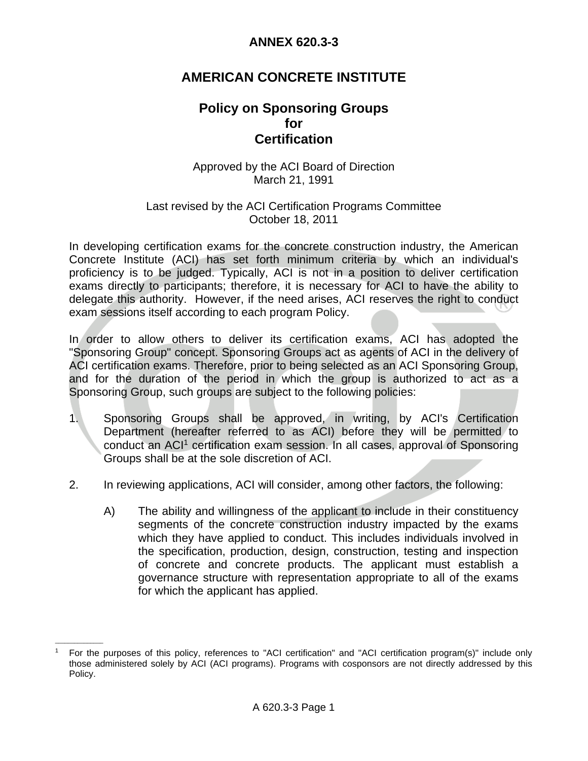# **AMERICAN CONCRETE INSTITUTE**

# **Policy on Sponsoring Groups**   *for a form*  **Certification**

### Approved by the ACI Board of Direction March 21, 1991

### Last revised by the ACI Certification Programs Committee October 18, 2011

In developing certification exams for the concrete construction industry, the American Concrete Institute (ACI) has set forth minimum criteria by which an individual's proficiency is to be judged. Typically, ACI is not in a position to deliver certification exams directly to participants; therefore, it is necessary for ACI to have the ability to delegate this authority. However, if the need arises, ACI reserves the right to conduct exam sessions itself according to each program Policy.

In order to allow others to deliver its certification exams, ACI has adopted the "Sponsoring Group" concept. Sponsoring Groups act as agents of ACI in the delivery of ACI certification exams. Therefore, prior to being selected as an ACI Sponsoring Group, and for the duration of the period in which the group is authorized to act as a Sponsoring Group, such groups are subject to the following policies:

- 1. Sponsoring Groups shall be approved, in writing, by ACI's Certification Department (hereafter referred to as ACI) before they will be permitted to conduct an ACI1 certification exam session. In all cases, approval of Sponsoring Groups shall be at the sole discretion of ACI.
- 2. In reviewing applications, ACI will consider, among other factors, the following:
	- A) The ability and willingness of the applicant to include in their constituency segments of the concrete construction industry impacted by the exams which they have applied to conduct. This includes individuals involved in the specification, production, design, construction, testing and inspection of concrete and concrete products. The applicant must establish a governance structure with representation appropriate to all of the exams for which the applicant has applied.

 $\mathcal{L}=\mathcal{L}$ 

<sup>1</sup> For the purposes of this policy, references to "ACI certification" and "ACI certification program(s)" include only those administered solely by ACI (ACI programs). Programs with cosponsors are not directly addressed by this Policy.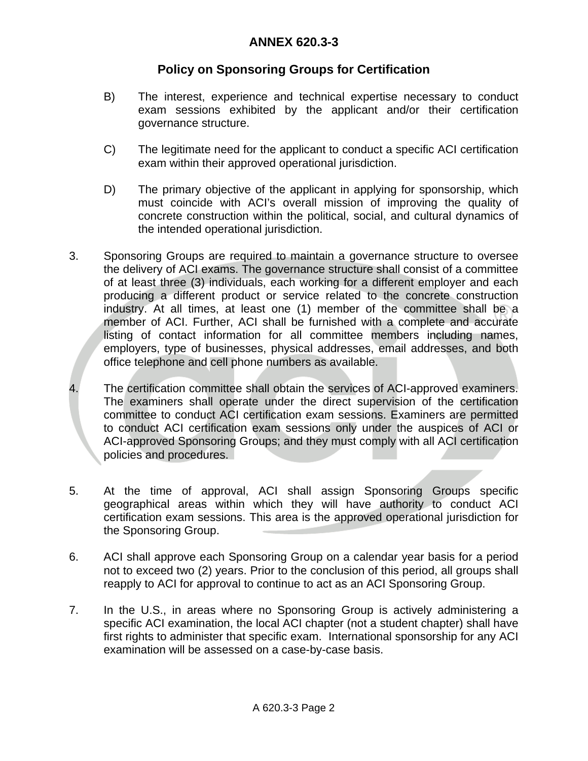# **Policy on Sponsoring Groups for Certification**

- B) The interest, experience and technical expertise necessary to conduct exam sessions exhibited by the applicant and/or their certification governance structure.
- C) The legitimate need for the applicant to conduct a specific ACI certification exam within their approved operational jurisdiction.
- D) The primary objective of the applicant in applying for sponsorship, which must coincide with ACI's overall mission of improving the quality of concrete construction within the political, social, and cultural dynamics of the intended operational jurisdiction.
- 3. Sponsoring Groups are required to maintain a governance structure to oversee the delivery of ACI exams. The governance structure shall consist of a committee of at least three (3) individuals, each working for a different employer and each producing a different product or service related to the concrete construction industry. At all times, at least one (1) member of the committee shall be a member of ACI. Further, ACI shall be furnished with a complete and accurate listing of contact information for all committee members including names, employers, type of businesses, physical addresses, email addresses, and both office telephone and cell phone numbers as available.
- 4. The certification committee shall obtain the services of ACI-approved examiners. The examiners shall operate under the direct supervision of the certification committee to conduct ACI certification exam sessions. Examiners are permitted to conduct ACI certification exam sessions only under the auspices of ACI or ACI-approved Sponsoring Groups; and they must comply with all ACI certification policies and procedures.
- 5. At the time of approval, ACI shall assign Sponsoring Groups specific geographical areas within which they will have authority to conduct ACI certification exam sessions. This area is the approved operational jurisdiction for the Sponsoring Group.
- 6. ACI shall approve each Sponsoring Group on a calendar year basis for a period not to exceed two (2) years. Prior to the conclusion of this period, all groups shall reapply to ACI for approval to continue to act as an ACI Sponsoring Group.
- 7. In the U.S., in areas where no Sponsoring Group is actively administering a specific ACI examination, the local ACI chapter (not a student chapter) shall have first rights to administer that specific exam. International sponsorship for any ACI examination will be assessed on a case-by-case basis.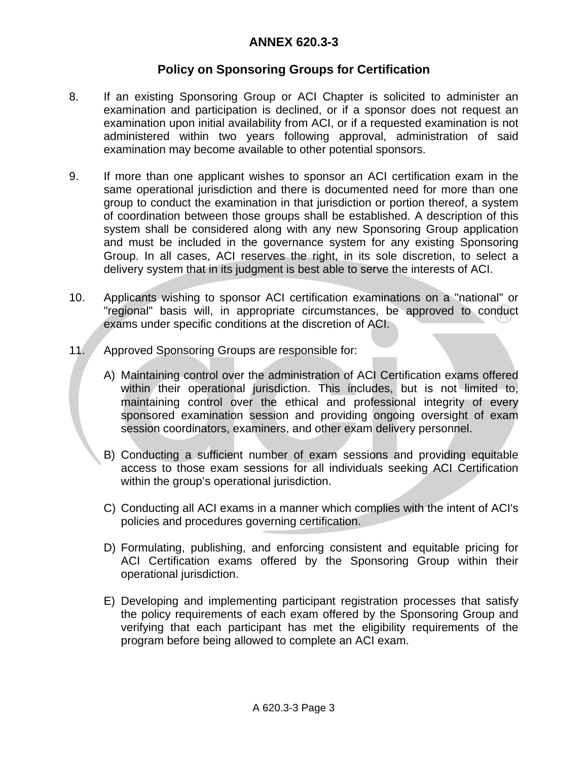# **Policy on Sponsoring Groups for Certification**

- 8. If an existing Sponsoring Group or ACI Chapter is solicited to administer an examination and participation is declined, or if a sponsor does not request an examination upon initial availability from ACI, or if a requested examination is not administered within two years following approval, administration of said examination may become available to other potential sponsors.
- 9. If more than one applicant wishes to sponsor an ACI certification exam in the same operational jurisdiction and there is documented need for more than one group to conduct the examination in that jurisdiction or portion thereof, a system of coordination between those groups shall be established. A description of this system shall be considered along with any new Sponsoring Group application and must be included in the governance system for any existing Sponsoring Group. In all cases, ACI reserves the right, in its sole discretion, to select a delivery system that in its judgment is best able to serve the interests of ACI.
- 10. Applicants wishing to sponsor ACI certification examinations on a "national" or "regional" basis will, in appropriate circumstances, be approved to conduct exams under specific conditions at the discretion of ACI.
- 11. Approved Sponsoring Groups are responsible for:
	- A) Maintaining control over the administration of ACI Certification exams offered within their operational jurisdiction. This includes, but is not limited to, maintaining control over the ethical and professional integrity of every sponsored examination session and providing ongoing oversight of exam session coordinators, examiners, and other exam delivery personnel.
	- B) Conducting a sufficient number of exam sessions and providing equitable access to those exam sessions for all individuals seeking ACI Certification within the group's operational jurisdiction.
	- C) Conducting all ACI exams in a manner which complies with the intent of ACI's policies and procedures governing certification.
	- D) Formulating, publishing, and enforcing consistent and equitable pricing for ACI Certification exams offered by the Sponsoring Group within their operational jurisdiction.
	- E) Developing and implementing participant registration processes that satisfy the policy requirements of each exam offered by the Sponsoring Group and verifying that each participant has met the eligibility requirements of the program before being allowed to complete an ACI exam.